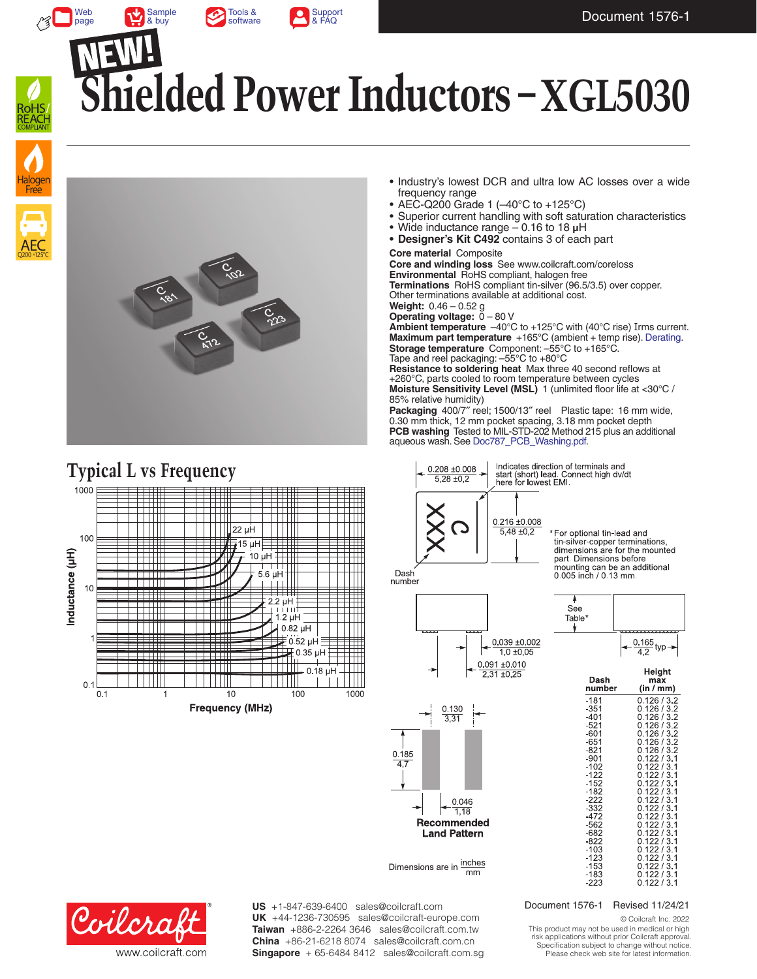

[Sample](http://www.coilcraft.com/xgl5030.cfm#table) & buy





Web [page](http://www.coilcraft.com/xgl5030.cfm)

# **Shielded Power Inductors – XGL5030**









- Industry's lowest DCR and ultra low AC losses over a wide frequency range
- AEC-Q200 Grade 1 (–40°C to +125°C)
- Superior current handling with soft saturation characteristics
- Wide inductance range 0.16 to 18 **µ**H
- **• Designer's Kit C492** contains 3 of each part

**Core material** Composite

**Core and winding loss** See www.coilcraft.com/coreloss

**Environmental** RoHS compliant, halogen free **Terminations** RoHS compliant tin-silver (96.5/3.5) over copper. Other terminations available at additional cost.

**Weight:** 0.46 – 0.52 g

**Operating voltage:**  $0 - 80$  V

Ambient temperature -40°C to +125°C with (40°C rise) Irms current. **Maximum part temperature** +165°C (ambient + temp rise). [Derating.](http://www.coilcraft.com/apps/compare/compare_power.cfm) **Storage temperature** Component: –55°C to +165°C. Tape and reel packaging: –55°C to +80°C

**Resistance to soldering heat** Max three 40 second reflows at +260°C, parts cooled to room temperature between cycles **Moisture Sensitivity Level (MSL)** 1 (unlimited floor life at <30°C / 85% relative humidity)

**Packaging** 400/7″ reel; 1500/13″ reel Plastic tape: 16 mm wide, 0.30 mm thick, 12 mm pocket spacing, 3.18 mm pocket depth **PCB washing** Tested to MIL-STD-202 Method 215 plus an additional aqueous wash. See [Doc787\\_PCB\\_Washing.pdf](http://www.coilcraft.com/pdfs/Doc787_PCB_Washing.pdf).



For optional tin-lead and tin-silver-copper terminations, dimensions are for the mounted part. Dimensions before mounting can be an additional<br>0.005 inch / 0.13 mm.

Dash number







| Dasıl            | шах                        |  |  |  |  |  |
|------------------|----------------------------|--|--|--|--|--|
| number           | (in / mm)                  |  |  |  |  |  |
| -181             | 0.126 / 3.2<br>0.126 / 3.2 |  |  |  |  |  |
| $-351$           |                            |  |  |  |  |  |
| $-401$           | 0,126/3.2                  |  |  |  |  |  |
| $-521$           | 0.126 / 3.2                |  |  |  |  |  |
| $-601$           | 0.126 / 3.2                |  |  |  |  |  |
| $-651$           | 0.126 / 3.2                |  |  |  |  |  |
| $-821$           | 0.126 / 3.2                |  |  |  |  |  |
| $-901$           | 0.122 / 3.1                |  |  |  |  |  |
| $-102$           | 0.122 / 3.1                |  |  |  |  |  |
| $-122$           | 0.122 / 3.1                |  |  |  |  |  |
| $-152$<br>$-182$ | 0.122 / 3.1<br>0.122 / 3.1 |  |  |  |  |  |
| $-222$           | 0.122 / 3.1                |  |  |  |  |  |
| $-332$           | 0.122 / 3.1                |  |  |  |  |  |
| $-472$           | 0.122 / 3.1                |  |  |  |  |  |
| $-562$           | 0.122 / 3.1                |  |  |  |  |  |
| $-682$           | 0.122 / 3.1                |  |  |  |  |  |
| -822             | 0.122 / 3.1                |  |  |  |  |  |
| $-103$           | 0.122 / 3.1                |  |  |  |  |  |
| $-123$           | 0.122 / 3.1                |  |  |  |  |  |
| $-153$           | 0.122 / 3.1                |  |  |  |  |  |
| $-183$           | 0.122 / 3.1                |  |  |  |  |  |
| $-223$           | 0.122 / 3.1                |  |  |  |  |  |
|                  |                            |  |  |  |  |  |



US +1-847-639-6400 sales@coilcraft.com UK +44-1236-730595 sales@coilcraft-europe.com **Taiwan** +886-2-2264 3646 sales@coilcraft.com.tw **China** +86-21-6218 8074 sales@coilcraft.com.cn **Singapore** + 65-6484 8412 sales@coilcraft.com.sg

### Document 1576-1 Revised 11/24/21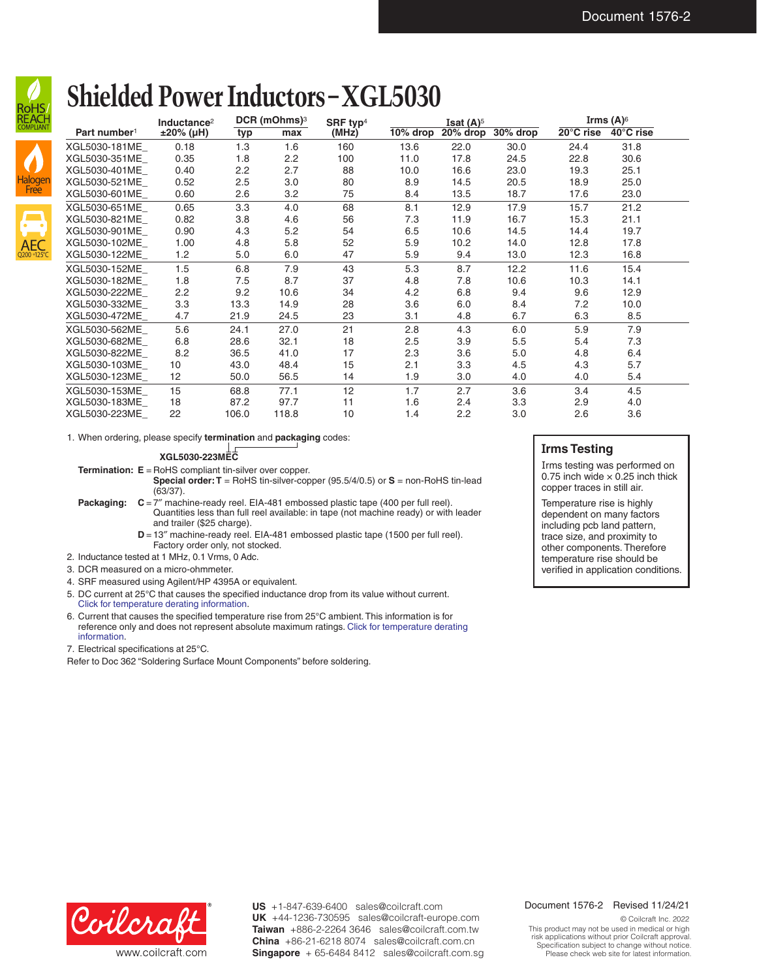

### **Shielded Power Inductors – XGL5030**

| . טו וטו<br><b>REACH</b> |                          | Inductance <sup>2</sup> | DCR (mOhms) <sup>3</sup> |       | SRF typ <sup>4</sup> | Isat $(A)$ <sup>5</sup> |          |          | Irms $(A)$ <sup>6</sup> |           |  |
|--------------------------|--------------------------|-------------------------|--------------------------|-------|----------------------|-------------------------|----------|----------|-------------------------|-----------|--|
|                          | Part number <sup>1</sup> | ±20% (µH)               | typ                      | max   | (MHz)                | 10% drop                | 20% drop | 30% drop | 20°C rise               | 40°C rise |  |
|                          | XGL5030-181ME            | 0.18                    | 1.3                      | 1.6   | 160                  | 13.6                    | 22.0     | 30.0     | 24.4                    | 31.8      |  |
|                          | XGL5030-351ME            | 0.35                    | 1.8                      | 2.2   | 100                  | 11.0                    | 17.8     | 24.5     | 22.8                    | 30.6      |  |
|                          | XGL5030-401ME            | 0.40                    | 2.2                      | 2.7   | 88                   | 10.0                    | 16.6     | 23.0     | 19.3                    | 25.1      |  |
| <b>Halogen</b>           | XGL5030-521ME            | 0.52                    | 2.5                      | 3.0   | 80                   | 8.9                     | 14.5     | 20.5     | 18.9                    | 25.0      |  |
| Free                     | XGL5030-601ME            | 0.60                    | 2.6                      | 3.2   | 75                   | 8.4                     | 13.5     | 18.7     | 17.6                    | 23.0      |  |
|                          | XGL5030-651ME            | 0.65                    | 3.3                      | 4.0   | 68                   | 8.1                     | 12.9     | 17.9     | 15.7                    | 21.2      |  |
| $\boldsymbol{\Box}$      | XGL5030-821ME            | 0.82                    | 3.8                      | 4.6   | 56                   | 7.3                     | 11.9     | 16.7     | 15.3                    | 21.1      |  |
|                          | XGL5030-901ME            | 0.90                    | 4.3                      | 5.2   | 54                   | 6.5                     | 10.6     | 14.5     | 14.4                    | 19.7      |  |
| <b>AEC</b>               | XGL5030-102ME            | 1.00                    | 4.8                      | 5.8   | 52                   | 5.9                     | 10.2     | 14.0     | 12.8                    | 17.8      |  |
| Q200+125°C               | XGL5030-122ME            | 1.2                     | 5.0                      | 6.0   | 47                   | 5.9                     | 9.4      | 13.0     | 12.3                    | 16.8      |  |
|                          | XGL5030-152ME            | 1.5                     | 6.8                      | 7.9   | 43                   | 5.3                     | 8.7      | 12.2     | 11.6                    | 15.4      |  |
|                          | XGL5030-182ME            | 1.8                     | 7.5                      | 8.7   | 37                   | 4.8                     | 7.8      | 10.6     | 10.3                    | 14.1      |  |
|                          | XGL5030-222ME            | 2.2                     | 9.2                      | 10.6  | 34                   | 4.2                     | 6.8      | 9.4      | 9.6                     | 12.9      |  |
|                          | XGL5030-332ME            | 3.3                     | 13.3                     | 14.9  | 28                   | 3.6                     | 6.0      | 8.4      | 7.2                     | 10.0      |  |
|                          | XGL5030-472ME            | 4.7                     | 21.9                     | 24.5  | 23                   | 3.1                     | 4.8      | 6.7      | 6.3                     | 8.5       |  |
|                          | XGL5030-562ME            | 5.6                     | 24.1                     | 27.0  | 21                   | 2.8                     | 4.3      | 6.0      | 5.9                     | 7.9       |  |
|                          | XGL5030-682ME            | 6.8                     | 28.6                     | 32.1  | 18                   | 2.5                     | 3.9      | 5.5      | 5.4                     | 7.3       |  |
|                          | XGL5030-822ME            | 8.2                     | 36.5                     | 41.0  | 17                   | 2.3                     | 3.6      | 5.0      | 4.8                     | 6.4       |  |
|                          | XGL5030-103ME            | 10                      | 43.0                     | 48.4  | 15                   | 2.1                     | 3.3      | 4.5      | 4.3                     | 5.7       |  |
|                          | XGL5030-123ME_           | $12 \overline{ }$       | 50.0                     | 56.5  | 14                   | 1.9                     | 3.0      | 4.0      | 4.0                     | 5.4       |  |
|                          | XGL5030-153ME            | 15                      | 68.8                     | 77.1  | 12                   | 1.7                     | 2.7      | 3.6      | 3.4                     | 4.5       |  |
|                          | XGL5030-183ME            | 18                      | 87.2                     | 97.7  | 11                   | 1.6                     | 2.4      | 3.3      | 2.9                     | 4.0       |  |
|                          | XGL5030-223ME            | 22                      | 106.0                    | 118.8 | 10                   | 1.4                     | 2.2      | 3.0      | 2.6                     | 3.6       |  |

1. When ordering, please specify **termination** and **packaging** codes:

#### **XGL5030-223MEC**

**Termination: E** = RoHS compliant tin-silver over copper.

**Special order: T** = RoHS tin-silver-copper (95.5/4/0.5) or **S** = non-RoHS tin-lead (63/37).

**Packaging:**  $C = 7<sup>″</sup>$  machine-ready reel. EIA-481 embossed plastic tape (400 per full reel). Quantities less than full reel available: in tape (not machine ready) or with leader and trailer (\$25 charge).

**D** = 13" machine-ready reel. EIA-481 embossed plastic tape (1500 per full reel). Factory order only, not stocked.

- 2. Inductance tested at 1 MHz, 0.1 Vrms, 0 Adc.
- 3. DCR measured on a micro-ohmmeter.
- 4. SRF measured using Agilent/HP 4395A or equivalent.
- 5. DC current at 25°C that causes the specified inductance drop from its value without current. [Click for temperature derating information.](http://www.coilcraft.com/apps/compare/compare_power.cfm)
- 6. Current that causes the specified temperature rise from 25°C ambient. This information is for reference only and does not represent absolute maximum ratings. [Click for temperature derating](http://www.coilcraft.com/apps/compare/compare_power.cfm)  [information](http://www.coilcraft.com/apps/compare/compare_power.cfm).

7. Electrical specifications at 25°C.

Refer to Doc 362 "Soldering Surface Mount Components" before soldering.

### **Irms Testing**

Irms testing was performed on 0.75 inch wide  $\times$  0.25 inch thick copper traces in still air.

Temperature rise is highly dependent on many factors including pcb land pattern, trace size, and proximity to other components. Therefore temperature rise should be verified in application conditions.



**US** +1-847-639-6400 sales@coilcraft.com **UK** +44-1236-730595 sales@coilcraft-europe.com **Taiwan** +886-2-2264 3646 sales@coilcraft.com.tw **China** +86-21-6218 8074 sales@coilcraft.com.cn **Singapore** + 65-6484 8412 sales@coilcraft.com.sg

#### Document 1576-2 Revised 11/24/21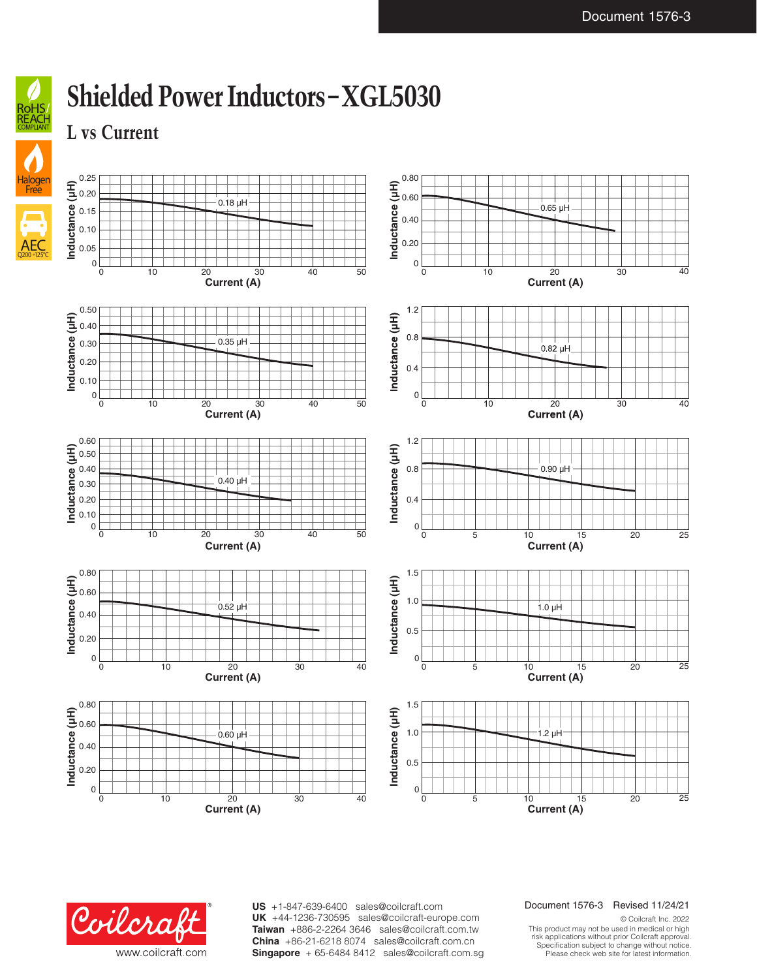40



Free

## **Shielded Power Inductors – XGL5030**

**L vs Current**





**US** +1-847-639-6400 sales@coilcraft.com **UK** +44-1236-730595 sales@coilcraft-europe.com **Taiwan** +886-2-2264 3646 sales@coilcraft.com.tw **China** +86-21-6218 8074 sales@coilcraft.com.cn **Singapore** + 65-6484 8412 sales@coilcraft.com.sg

### Document 1576-3 Revised 11/24/21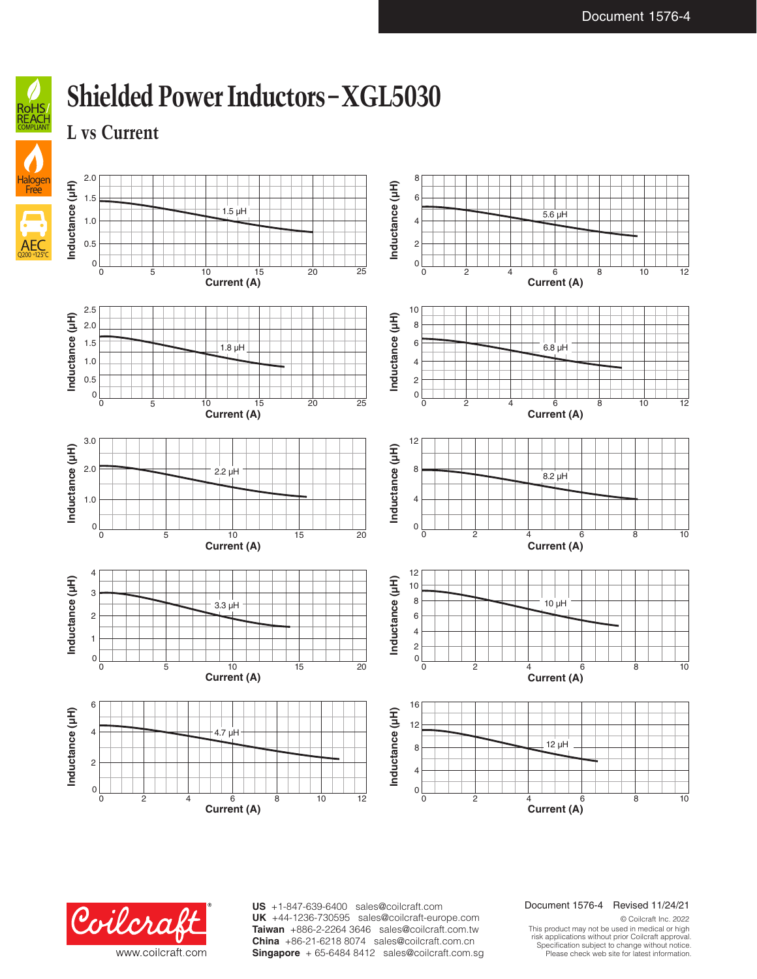

AEC Q200 +125°C

### **Shielded Power Inductors – XGL5030**

**L vs Current**





**US** +1-847-639-6400 sales@coilcraft.com **UK** +44-1236-730595 sales@coilcraft-europe.com **Taiwan** +886-2-2264 3646 sales@coilcraft.com.tw **China** +86-21-6218 8074 sales@coilcraft.com.cn **Singapore** + 65-6484 8412 sales@coilcraft.com.sg

### Document 1576-4 Revised 11/24/21